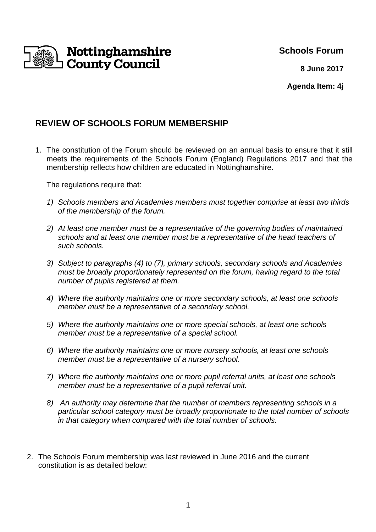

### **Schools Forum**

**8 June 2017**

**Agenda Item: 4j**

# **REVIEW OF SCHOOLS FORUM MEMBERSHIP**

1. The constitution of the Forum should be reviewed on an annual basis to ensure that it still meets the requirements of the Schools Forum (England) Regulations 2017 and that the membership reflects how children are educated in Nottinghamshire.

The regulations require that:

- 1) Schools members and Academies members must together comprise at least two thirds of the membership of the forum.
- 2) At least one member must be a representative of the governing bodies of maintained schools and at least one member must be a representative of the head teachers of such schools.
- 3) Subject to paragraphs (4) to (7), primary schools, secondary schools and Academies must be broadly proportionately represented on the forum, having regard to the total number of pupils registered at them.
- 4) Where the authority maintains one or more secondary schools, at least one schools member must be a representative of a secondary school.
- 5) Where the authority maintains one or more special schools, at least one schools member must be a representative of a special school.
- 6) Where the authority maintains one or more nursery schools, at least one schools member must be a representative of a nursery school.
- 7) Where the authority maintains one or more pupil referral units, at least one schools member must be a representative of a pupil referral unit.
- 8) An authority may determine that the number of members representing schools in a particular school category must be broadly proportionate to the total number of schools in that category when compared with the total number of schools.
- 2. The Schools Forum membership was last reviewed in June 2016 and the current constitution is as detailed below: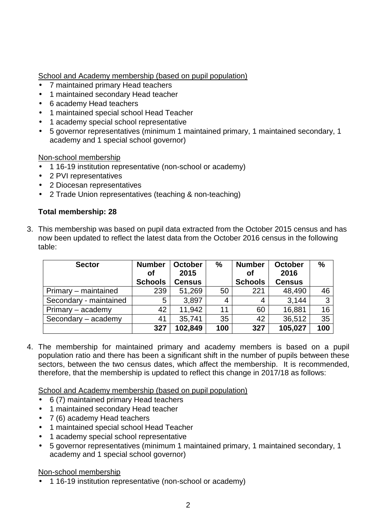School and Academy membership (based on pupil population)

- 7 maintained primary Head teachers
- 1 maintained secondary Head teacher
- 6 academy Head teachers
- 1 maintained special school Head Teacher
- 1 academy special school representative
- 5 governor representatives (minimum 1 maintained primary, 1 maintained secondary, 1 academy and 1 special school governor)

Non-school membership

- 1 16-19 institution representative (non-school or academy)
- 2 PVI representatives
- 2 Diocesan representatives
- 2 Trade Union representatives (teaching & non-teaching)

#### **Total membership: 28**

3. This membership was based on pupil data extracted from the October 2015 census and has now been updated to reflect the latest data from the October 2016 census in the following table:

| <b>Sector</b>          | <b>Number</b><br>Οf<br><b>Schools</b> | <b>October</b><br>2015<br><b>Census</b> | $\%$ | <b>Number</b><br><b>of</b><br><b>Schools</b> | <b>October</b><br>2016<br><b>Census</b> | $\%$ |
|------------------------|---------------------------------------|-----------------------------------------|------|----------------------------------------------|-----------------------------------------|------|
| Primary – maintained   | 239                                   | 51,269                                  | 50   | 221                                          | 48,490                                  | 46   |
| Secondary - maintained | 5                                     | 3,897                                   | 4    | 4                                            | 3,144                                   | 3    |
| Primary – academy      | 42                                    | 11,942                                  | 11   | 60                                           | 16,881                                  | 16   |
| Secondary - academy    | 41                                    | 35,741                                  | 35   | 42                                           | 36,512                                  | 35   |
|                        | 327                                   | 102,849                                 | 100  | 327                                          | 105,027                                 | 100  |

4. The membership for maintained primary and academy members is based on a pupil population ratio and there has been a significant shift in the number of pupils between these sectors, between the two census dates, which affect the membership. It is recommended, therefore, that the membership is updated to reflect this change in 2017/18 as follows:

School and Academy membership (based on pupil population)

- 6 (7) maintained primary Head teachers
- 1 maintained secondary Head teacher
- 7 (6) academy Head teachers
- 1 maintained special school Head Teacher
- 1 academy special school representative
- 5 governor representatives (minimum 1 maintained primary, 1 maintained secondary, 1 academy and 1 special school governor)

Non-school membership

• 1 16-19 institution representative (non-school or academy)